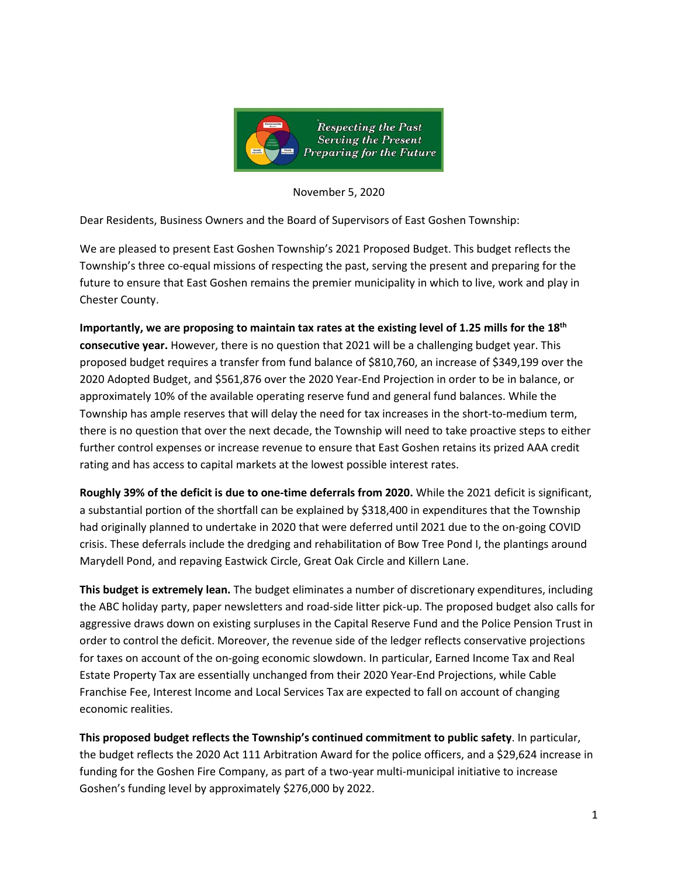

November 5, 2020

Dear Residents, Business Owners and the Board of Supervisors of East Goshen Township:

We are pleased to present East Goshen Township's 2021 Proposed Budget. This budget reflects the Township's three co-equal missions of respecting the past, serving the present and preparing for the future to ensure that East Goshen remains the premier municipality in which to live, work and play in Chester County.

**Importantly, we are proposing to maintain tax rates at the existing level of 1.25 mills for the 18th consecutive year.** However, there is no question that 2021 will be a challenging budget year. This proposed budget requires a transfer from fund balance of \$810,760, an increase of \$349,199 over the 2020 Adopted Budget, and \$561,876 over the 2020 Year-End Projection in order to be in balance, or approximately 10% of the available operating reserve fund and general fund balances. While the Township has ample reserves that will delay the need for tax increases in the short-to-medium term, there is no question that over the next decade, the Township will need to take proactive steps to either further control expenses or increase revenue to ensure that East Goshen retains its prized AAA credit rating and has access to capital markets at the lowest possible interest rates.

**Roughly 39% of the deficit is due to one-time deferrals from 2020.** While the 2021 deficit is significant, a substantial portion of the shortfall can be explained by \$318,400 in expenditures that the Township had originally planned to undertake in 2020 that were deferred until 2021 due to the on-going COVID crisis. These deferrals include the dredging and rehabilitation of Bow Tree Pond I, the plantings around Marydell Pond, and repaving Eastwick Circle, Great Oak Circle and Killern Lane.

**This budget is extremely lean.** The budget eliminates a number of discretionary expenditures, including the ABC holiday party, paper newsletters and road-side litter pick-up. The proposed budget also calls for aggressive draws down on existing surpluses in the Capital Reserve Fund and the Police Pension Trust in order to control the deficit. Moreover, the revenue side of the ledger reflects conservative projections for taxes on account of the on-going economic slowdown. In particular, Earned Income Tax and Real Estate Property Tax are essentially unchanged from their 2020 Year-End Projections, while Cable Franchise Fee, Interest Income and Local Services Tax are expected to fall on account of changing economic realities.

**This proposed budget reflects the Township's continued commitment to public safety**. In particular, the budget reflects the 2020 Act 111 Arbitration Award for the police officers, and a \$29,624 increase in funding for the Goshen Fire Company, as part of a two-year multi-municipal initiative to increase Goshen's funding level by approximately \$276,000 by 2022.